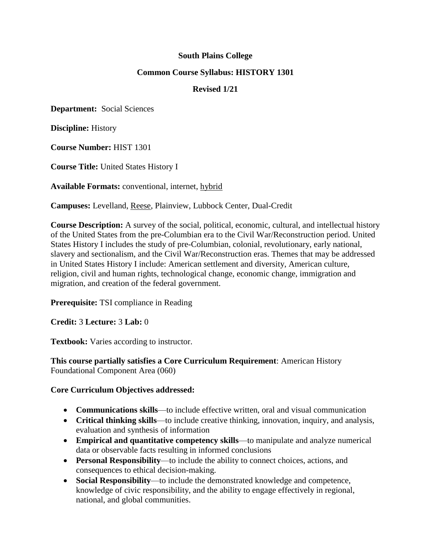# **South Plains College**

# **Common Course Syllabus: HISTORY 1301**

# **Revised 1/21**

**Department:** Social Sciences

**Discipline:** History

**Course Number:** HIST 1301

**Course Title:** United States History I

**Available Formats:** conventional, internet, hybrid

**Campuses:** Levelland, Reese, Plainview, Lubbock Center, Dual-Credit

**Course Description:** A survey of the social, political, economic, cultural, and intellectual history of the United States from the pre-Columbian era to the Civil War/Reconstruction period. United States History I includes the study of pre-Columbian, colonial, revolutionary, early national, slavery and sectionalism, and the Civil War/Reconstruction eras. Themes that may be addressed in United States History I include: American settlement and diversity, American culture, religion, civil and human rights, technological change, economic change, immigration and migration, and creation of the federal government.

**Prerequisite:** TSI compliance in Reading

**Credit:** 3 **Lecture:** 3 **Lab:** 0

**Textbook:** Varies according to instructor.

**This course partially satisfies a Core Curriculum Requirement**: American History Foundational Component Area (060)

# **Core Curriculum Objectives addressed:**

- **Communications skills**—to include effective written, oral and visual communication
- **Critical thinking skills**—to include creative thinking, innovation, inquiry, and analysis, evaluation and synthesis of information
- **Empirical and quantitative competency skills**—to manipulate and analyze numerical data or observable facts resulting in informed conclusions
- **Personal Responsibility**—to include the ability to connect choices, actions, and consequences to ethical decision-making.
- **Social Responsibility**—to include the demonstrated knowledge and competence, knowledge of civic responsibility, and the ability to engage effectively in regional, national, and global communities.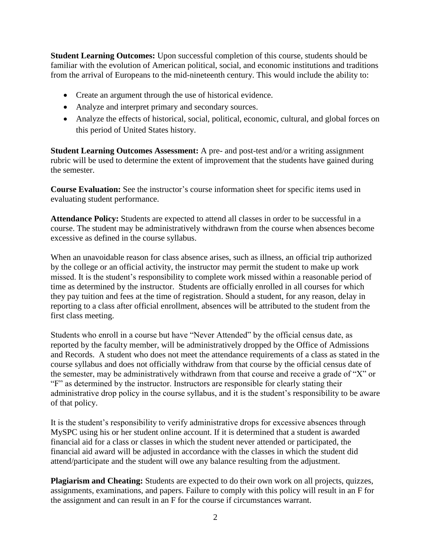**Student Learning Outcomes:** Upon successful completion of this course, students should be familiar with the evolution of American political, social, and economic institutions and traditions from the arrival of Europeans to the mid-nineteenth century. This would include the ability to:

- Create an argument through the use of historical evidence.
- Analyze and interpret primary and secondary sources.
- Analyze the effects of historical, social, political, economic, cultural, and global forces on this period of United States history.

**Student Learning Outcomes Assessment:** A pre- and post-test and/or a writing assignment rubric will be used to determine the extent of improvement that the students have gained during the semester.

**Course Evaluation:** See the instructor's course information sheet for specific items used in evaluating student performance.

**Attendance Policy:** Students are expected to attend all classes in order to be successful in a course. The student may be administratively withdrawn from the course when absences become excessive as defined in the course syllabus.

When an unavoidable reason for class absence arises, such as illness, an official trip authorized by the college or an official activity, the instructor may permit the student to make up work missed. It is the student's responsibility to complete work missed within a reasonable period of time as determined by the instructor. Students are officially enrolled in all courses for which they pay tuition and fees at the time of registration. Should a student, for any reason, delay in reporting to a class after official enrollment, absences will be attributed to the student from the first class meeting.

Students who enroll in a course but have "Never Attended" by the official census date, as reported by the faculty member, will be administratively dropped by the Office of Admissions and Records. A student who does not meet the attendance requirements of a class as stated in the course syllabus and does not officially withdraw from that course by the official census date of the semester, may be administratively withdrawn from that course and receive a grade of "X" or "F" as determined by the instructor. Instructors are responsible for clearly stating their administrative drop policy in the course syllabus, and it is the student's responsibility to be aware of that policy.

It is the student's responsibility to verify administrative drops for excessive absences through MySPC using his or her student online account. If it is determined that a student is awarded financial aid for a class or classes in which the student never attended or participated, the financial aid award will be adjusted in accordance with the classes in which the student did attend/participate and the student will owe any balance resulting from the adjustment.

**Plagiarism and Cheating:** Students are expected to do their own work on all projects, quizzes, assignments, examinations, and papers. Failure to comply with this policy will result in an F for the assignment and can result in an F for the course if circumstances warrant.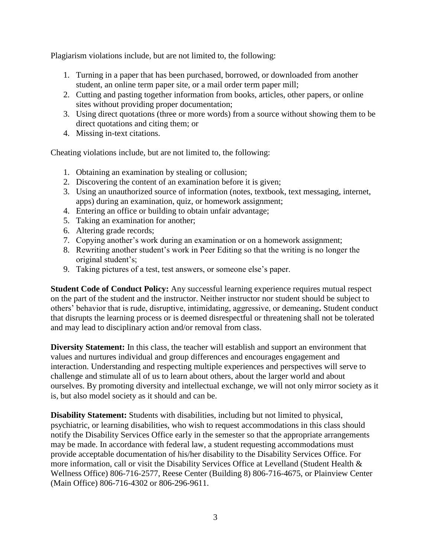Plagiarism violations include, but are not limited to, the following:

- 1. Turning in a paper that has been purchased, borrowed, or downloaded from another student, an online term paper site, or a mail order term paper mill;
- 2. Cutting and pasting together information from books, articles, other papers, or online sites without providing proper documentation;
- 3. Using direct quotations (three or more words) from a source without showing them to be direct quotations and citing them; or
- 4. Missing in-text citations.

Cheating violations include, but are not limited to, the following:

- 1. Obtaining an examination by stealing or collusion;
- 2. Discovering the content of an examination before it is given;
- 3. Using an unauthorized source of information (notes, textbook, text messaging, internet, apps) during an examination, quiz, or homework assignment;
- 4. Entering an office or building to obtain unfair advantage;
- 5. Taking an examination for another;
- 6. Altering grade records;
- 7. Copying another's work during an examination or on a homework assignment;
- 8. Rewriting another student's work in Peer Editing so that the writing is no longer the original student's;
- 9. Taking pictures of a test, test answers, or someone else's paper.

**Student Code of Conduct Policy:** Any successful learning experience requires mutual respect on the part of the student and the instructor. Neither instructor nor student should be subject to others' behavior that is rude, disruptive, intimidating, aggressive, or demeaning**.** Student conduct that disrupts the learning process or is deemed disrespectful or threatening shall not be tolerated and may lead to disciplinary action and/or removal from class.

**Diversity Statement:** In this class, the teacher will establish and support an environment that values and nurtures individual and group differences and encourages engagement and interaction. Understanding and respecting multiple experiences and perspectives will serve to challenge and stimulate all of us to learn about others, about the larger world and about ourselves. By promoting diversity and intellectual exchange, we will not only mirror society as it is, but also model society as it should and can be.

**Disability Statement:** Students with disabilities, including but not limited to physical, psychiatric, or learning disabilities, who wish to request accommodations in this class should notify the Disability Services Office early in the semester so that the appropriate arrangements may be made. In accordance with federal law, a student requesting accommodations must provide acceptable documentation of his/her disability to the Disability Services Office. For more information, call or visit the Disability Services Office at Levelland (Student Health & Wellness Office) 806-716-2577, Reese Center (Building 8) 806-716-4675, or Plainview Center (Main Office) 806-716-4302 or 806-296-9611.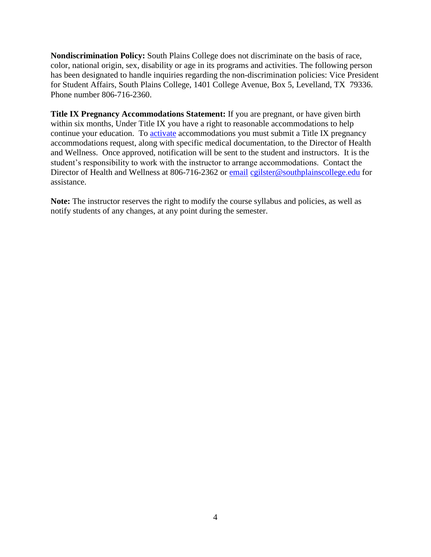**Nondiscrimination Policy:** South Plains College does not discriminate on the basis of race, color, national origin, sex, disability or age in its programs and activities. The following person has been designated to handle inquiries regarding the non-discrimination policies: Vice President for Student Affairs, South Plains College, 1401 College Avenue, Box 5, Levelland, TX 79336. Phone number 806-716-2360.

**Title IX Pregnancy Accommodations Statement:** If you are pregnant, or have given birth within six months, Under Title IX you have a right to reasonable accommodations to help continue your education. To [activate](http://www.southplainscollege.edu/employees/manualshandbooks/facultyhandbook/sec4.php) accommodations you must submit a Title IX pregnancy accommodations request, along with specific medical documentation, to the Director of Health and Wellness. Once approved, notification will be sent to the student and instructors. It is the student's responsibility to work with the instructor to arrange accommodations. Contact the Director of Health and Wellness at 806-716-2362 or [email](http://www.southplainscollege.edu/employees/manualshandbooks/facultyhandbook/sec4.php) [cgilster@southplainscollege.edu](mailto:cgilster@southplainscollege.edu) for assistance.

**Note:** The instructor reserves the right to modify the course syllabus and policies, as well as notify students of any changes, at any point during the semester.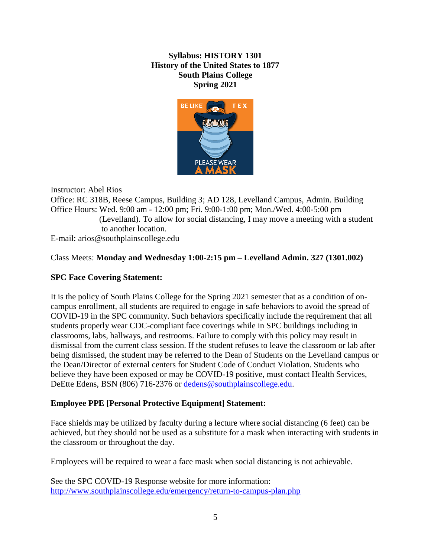# **Syllabus: HISTORY 1301 History of the United States to 1877 South Plains College Spring 2021**



Instructor: Abel Rios Office: RC 318B, Reese Campus, Building 3; AD 128, Levelland Campus, Admin. Building Office Hours: Wed. 9:00 am - 12:00 pm; Fri. 9:00-1:00 pm; Mon./Wed. 4:00-5:00 pm (Levelland). To allow for social distancing, I may move a meeting with a student to another location. E-mail: arios@southplainscollege.edu

# Class Meets: **Monday and Wednesday 1:00-2:15 pm – Levelland Admin. 327 (1301.002)**

# **SPC Face Covering Statement:**

It is the policy of South Plains College for the Spring 2021 semester that as a condition of oncampus enrollment, all students are required to engage in safe behaviors to avoid the spread of COVID-19 in the SPC community. Such behaviors specifically include the requirement that all students properly wear CDC-compliant face coverings while in SPC buildings including in classrooms, labs, hallways, and restrooms. Failure to comply with this policy may result in dismissal from the current class session. If the student refuses to leave the classroom or lab after being dismissed, the student may be referred to the Dean of Students on the Levelland campus or the Dean/Director of external centers for Student Code of Conduct Violation. Students who believe they have been exposed or may be COVID-19 positive, must contact Health Services, DeEtte Edens, BSN (806) 716-2376 or [dedens@southplainscollege.edu.](mailto:dedens@southplainscollege.edu)

# **Employee PPE [Personal Protective Equipment] Statement:**

Face shields may be utilized by faculty during a lecture where social distancing (6 feet) can be achieved, but they should not be used as a substitute for a mask when interacting with students in the classroom or throughout the day.

Employees will be required to wear a face mask when social distancing is not achievable.

See the SPC COVID-19 Response website for more information: <http://www.southplainscollege.edu/emergency/return-to-campus-plan.php>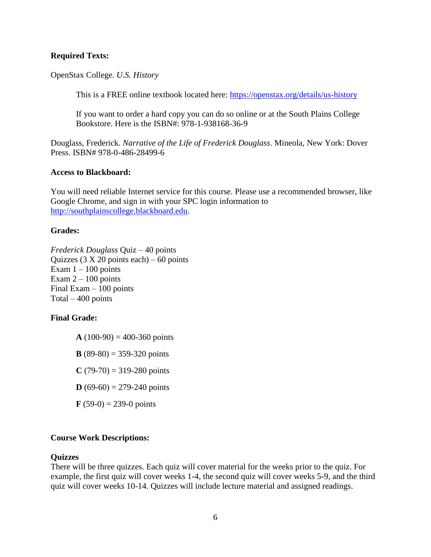### **Required Texts:**

OpenStax College. *U.S. History*

This is a FREE online textbook located here:<https://openstax.org/details/us-history>

If you want to order a hard copy you can do so online or at the South Plains College Bookstore. Here is the ISBN#: 978-1-938168-36-9

Douglass, Frederick. *Narrative of the Life of Frederick Douglass*. Mineola, New York: Dover Press. ISBN# 978-0-486-28499-6

### **Access to Blackboard:**

You will need reliable Internet service for this course. Please use a recommended browser, like Google Chrome, and sign in with your SPC login information to [http://southplainscollege.blackboard.edu.](http://southplainscollege.blackboard.edu/)

### **Grades:**

*Frederick Douglass* Quiz – 40 points Quizzes  $(3 X 20$  points each) – 60 points Exam  $1 - 100$  points Exam  $2 - 100$  points Final Exam – 100 points Total  $-400$  points

# **Final Grade:**

 $A(100-90) = 400-360$  points

**B** (89-80) = 359-320 points

 $C(79-70) = 319-280$  points

**D** (69-60) = 279-240 points

 $\bf{F}$  (59-0) = 239-0 points

# **Course Work Descriptions:**

#### **Quizzes**

There will be three quizzes. Each quiz will cover material for the weeks prior to the quiz. For example, the first quiz will cover weeks 1-4, the second quiz will cover weeks 5-9, and the third quiz will cover weeks 10-14. Quizzes will include lecture material and assigned readings.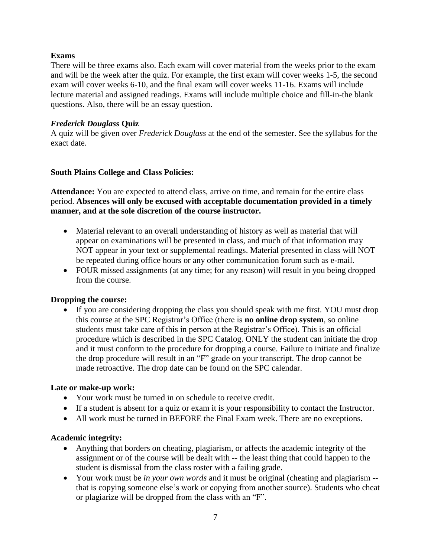# **Exams**

There will be three exams also. Each exam will cover material from the weeks prior to the exam and will be the week after the quiz. For example, the first exam will cover weeks 1-5, the second exam will cover weeks 6-10, and the final exam will cover weeks 11-16. Exams will include lecture material and assigned readings. Exams will include multiple choice and fill-in-the blank questions. Also, there will be an essay question.

# *Frederick Douglass* **Quiz**

A quiz will be given over *Frederick Douglass* at the end of the semester. See the syllabus for the exact date.

# **South Plains College and Class Policies:**

Attendance: You are expected to attend class, arrive on time, and remain for the entire class period. **Absences will only be excused with acceptable documentation provided in a timely manner, and at the sole discretion of the course instructor.**

- Material relevant to an overall understanding of history as well as material that will appear on examinations will be presented in class, and much of that information may NOT appear in your text or supplemental readings. Material presented in class will NOT be repeated during office hours or any other communication forum such as e-mail.
- FOUR missed assignments (at any time; for any reason) will result in you being dropped from the course.

# **Dropping the course:**

• If you are considering dropping the class you should speak with me first. YOU must drop this course at the SPC Registrar's Office (there is **no online drop system**, so online students must take care of this in person at the Registrar's Office). This is an official procedure which is described in the SPC Catalog. ONLY the student can initiate the drop and it must conform to the procedure for dropping a course. Failure to initiate and finalize the drop procedure will result in an "F" grade on your transcript. The drop cannot be made retroactive. The drop date can be found on the SPC calendar.

# **Late or make-up work:**

- Your work must be turned in on schedule to receive credit.
- If a student is absent for a quiz or exam it is your responsibility to contact the Instructor.
- All work must be turned in BEFORE the Final Exam week. There are no exceptions.

# **Academic integrity:**

- Anything that borders on cheating, plagiarism, or affects the academic integrity of the assignment or of the course will be dealt with -- the least thing that could happen to the student is dismissal from the class roster with a failing grade.
- Your work must be *in your own words* and it must be original (cheating and plagiarism that is copying someone else's work or copying from another source). Students who cheat or plagiarize will be dropped from the class with an "F".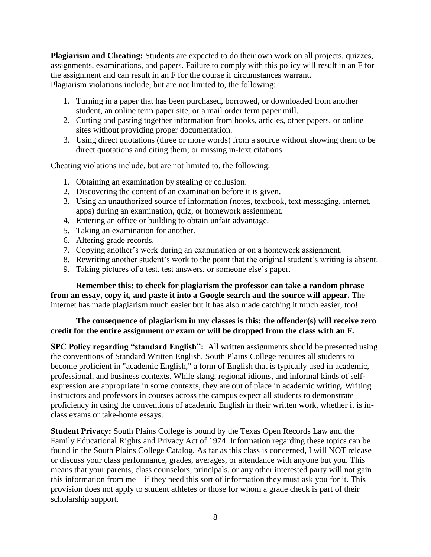**Plagiarism and Cheating:** Students are expected to do their own work on all projects, quizzes, assignments, examinations, and papers. Failure to comply with this policy will result in an F for the assignment and can result in an F for the course if circumstances warrant. Plagiarism violations include, but are not limited to, the following:

- 1. Turning in a paper that has been purchased, borrowed, or downloaded from another student, an online term paper site, or a mail order term paper mill.
- 2. Cutting and pasting together information from books, articles, other papers, or online sites without providing proper documentation.
- 3. Using direct quotations (three or more words) from a source without showing them to be direct quotations and citing them; or missing in-text citations.

Cheating violations include, but are not limited to, the following:

- 1. Obtaining an examination by stealing or collusion.
- 2. Discovering the content of an examination before it is given.
- 3. Using an unauthorized source of information (notes, textbook, text messaging, internet, apps) during an examination, quiz, or homework assignment.
- 4. Entering an office or building to obtain unfair advantage.
- 5. Taking an examination for another.
- 6. Altering grade records.
- 7. Copying another's work during an examination or on a homework assignment.
- 8. Rewriting another student's work to the point that the original student's writing is absent.
- 9. Taking pictures of a test, test answers, or someone else's paper.

**Remember this: to check for plagiarism the professor can take a random phrase from an essay, copy it, and paste it into a Google search and the source will appear.** The internet has made plagiarism much easier but it has also made catching it much easier, too!

# **The consequence of plagiarism in my classes is this: the offender(s) will receive zero credit for the entire assignment or exam or will be dropped from the class with an F.**

**SPC Policy regarding "standard English":** All written assignments should be presented using the conventions of Standard Written English. South Plains College requires all students to become proficient in "academic English," a form of English that is typically used in academic, professional, and business contexts. While slang, regional idioms, and informal kinds of selfexpression are appropriate in some contexts, they are out of place in academic writing. Writing instructors and professors in courses across the campus expect all students to demonstrate proficiency in using the conventions of academic English in their written work, whether it is inclass exams or take-home essays.

**Student Privacy:** South Plains College is bound by the Texas Open Records Law and the Family Educational Rights and Privacy Act of 1974. Information regarding these topics can be found in the South Plains College Catalog. As far as this class is concerned, I will NOT release or discuss your class performance, grades, averages, or attendance with anyone but you. This means that your parents, class counselors, principals, or any other interested party will not gain this information from me – if they need this sort of information they must ask you for it. This provision does not apply to student athletes or those for whom a grade check is part of their scholarship support.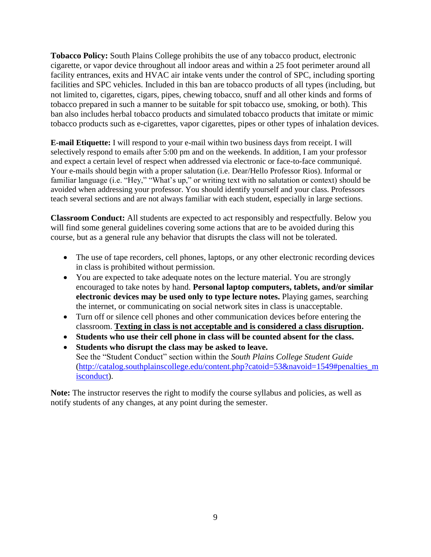**Tobacco Policy:** South Plains College prohibits the use of any tobacco product, electronic cigarette, or vapor device throughout all indoor areas and within a 25 foot perimeter around all facility entrances, exits and HVAC air intake vents under the control of SPC, including sporting facilities and SPC vehicles. Included in this ban are tobacco products of all types (including, but not limited to, cigarettes, cigars, pipes, chewing tobacco, snuff and all other kinds and forms of tobacco prepared in such a manner to be suitable for spit tobacco use, smoking, or both). This ban also includes herbal tobacco products and simulated tobacco products that imitate or mimic tobacco products such as e-cigarettes, vapor cigarettes, pipes or other types of inhalation devices.

**E-mail Etiquette:** I will respond to your e-mail within two business days from receipt. I will selectively respond to emails after 5:00 pm and on the weekends. In addition, I am your professor and expect a certain level of respect when addressed via electronic or face-to-face communiqué. Your e-mails should begin with a proper salutation (i.e. Dear/Hello Professor Rios). Informal or familiar language (i.e. "Hey," "What's up," or writing text with no salutation or context) should be avoided when addressing your professor. You should identify yourself and your class. Professors teach several sections and are not always familiar with each student, especially in large sections.

**Classroom Conduct:** All students are expected to act responsibly and respectfully. Below you will find some general guidelines covering some actions that are to be avoided during this course, but as a general rule any behavior that disrupts the class will not be tolerated.

- The use of tape recorders, cell phones, laptops, or any other electronic recording devices in class is prohibited without permission.
- You are expected to take adequate notes on the lecture material. You are strongly encouraged to take notes by hand. **Personal laptop computers, tablets, and/or similar electronic devices may be used only to type lecture notes.** Playing games, searching the internet, or communicating on social network sites in class is unacceptable.
- Turn off or silence cell phones and other communication devices before entering the classroom. **Texting in class is not acceptable and is considered a class disruption.**
- **Students who use their cell phone in class will be counted absent for the class.**
- **Students who disrupt the class may be asked to leave.**  See the "Student Conduct" section within the *South Plains College Student Guide* [\(http://catalog.southplainscollege.edu/content.php?catoid=53&navoid=1549#penalties\\_m](http://catalog.southplainscollege.edu/content.php?catoid=53&navoid=1549#penalties_misconduct) [isconduct\)](http://catalog.southplainscollege.edu/content.php?catoid=53&navoid=1549#penalties_misconduct).

Note: The instructor reserves the right to modify the course syllabus and policies, as well as notify students of any changes, at any point during the semester.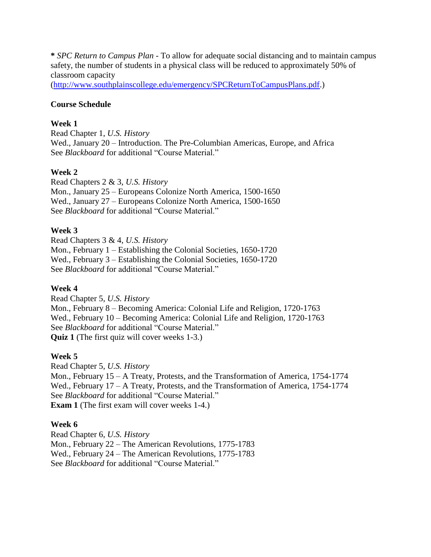**\*** *SPC Return to Campus Plan* - To allow for adequate social distancing and to maintain campus safety, the number of students in a physical class will be reduced to approximately 50% of classroom capacity

[\(http://www.southplainscollege.edu/emergency/SPCReturnToCampusPlans.pdf.](http://www.southplainscollege.edu/emergency/SPCReturnToCampusPlans.pdf))

# **Course Schedule**

# **Week 1**

Read Chapter 1, *U.S. History* Wed., January 20 – Introduction. The Pre-Columbian Americas, Europe, and Africa See *Blackboard* for additional "Course Material."

# **Week 2**

Read Chapters 2 & 3, *U.S. History* Mon., January 25 – Europeans Colonize North America, 1500-1650 Wed., January 27 – Europeans Colonize North America, 1500-1650 See *Blackboard* for additional "Course Material."

# **Week 3**

Read Chapters 3 & 4, *U.S. History* Mon., February 1 – Establishing the Colonial Societies, 1650-1720 Wed., February 3 – Establishing the Colonial Societies, 1650-1720 See *Blackboard* for additional "Course Material."

#### **Week 4**

Read Chapter 5, *U.S. History* Mon., February 8 – Becoming America: Colonial Life and Religion, 1720-1763 Wed., February 10 – Becoming America: Colonial Life and Religion, 1720-1763 See *Blackboard* for additional "Course Material." **Quiz 1** (The first quiz will cover weeks 1-3.)

# **Week 5**

Read Chapter 5, *U.S. History* Mon., February 15 – A Treaty, Protests, and the Transformation of America, 1754-1774 Wed., February 17 – A Treaty, Protests, and the Transformation of America, 1754-1774 See *Blackboard* for additional "Course Material." **Exam 1** (The first exam will cover weeks 1-4.)

#### **Week 6**

Read Chapter 6, *U.S. History* Mon., February 22 – The American Revolutions, 1775-1783 Wed., February 24 – The American Revolutions, 1775-1783 See *Blackboard* for additional "Course Material."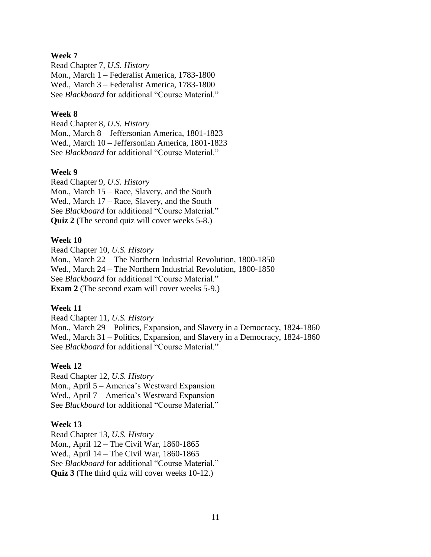### **Week 7**

Read Chapter 7, *U.S. History* Mon., March 1 – Federalist America, 1783-1800 Wed., March 3 – Federalist America, 1783-1800 See *Blackboard* for additional "Course Material."

### **Week 8**

Read Chapter 8, *U.S. History* Mon., March 8 – Jeffersonian America, 1801-1823 Wed., March 10 – Jeffersonian America, 1801-1823 See *Blackboard* for additional "Course Material."

### **Week 9**

Read Chapter 9, *U.S. History* Mon., March 15 – Race, Slavery, and the South Wed., March 17 – Race, Slavery, and the South See *Blackboard* for additional "Course Material." **Quiz 2** (The second quiz will cover weeks 5-8.)

### **Week 10**

Read Chapter 10, *U.S. History* Mon., March 22 – The Northern Industrial Revolution, 1800-1850 Wed., March 24 – The Northern Industrial Revolution, 1800-1850 See *Blackboard* for additional "Course Material." **Exam 2** (The second exam will cover weeks 5-9.)

#### **Week 11**

Read Chapter 11, *U.S. History* Mon., March 29 – Politics, Expansion, and Slavery in a Democracy, 1824-1860 Wed., March 31 – Politics, Expansion, and Slavery in a Democracy, 1824-1860 See *Blackboard* for additional "Course Material."

#### **Week 12**

Read Chapter 12, *U.S. History* Mon., April 5 – America's Westward Expansion Wed., April 7 – America's Westward Expansion See *Blackboard* for additional "Course Material."

#### **Week 13**

Read Chapter 13, *U.S. History* Mon., April 12 – The Civil War, 1860-1865 Wed., April 14 – The Civil War, 1860-1865 See *Blackboard* for additional "Course Material." **Quiz 3** (The third quiz will cover weeks 10-12.)